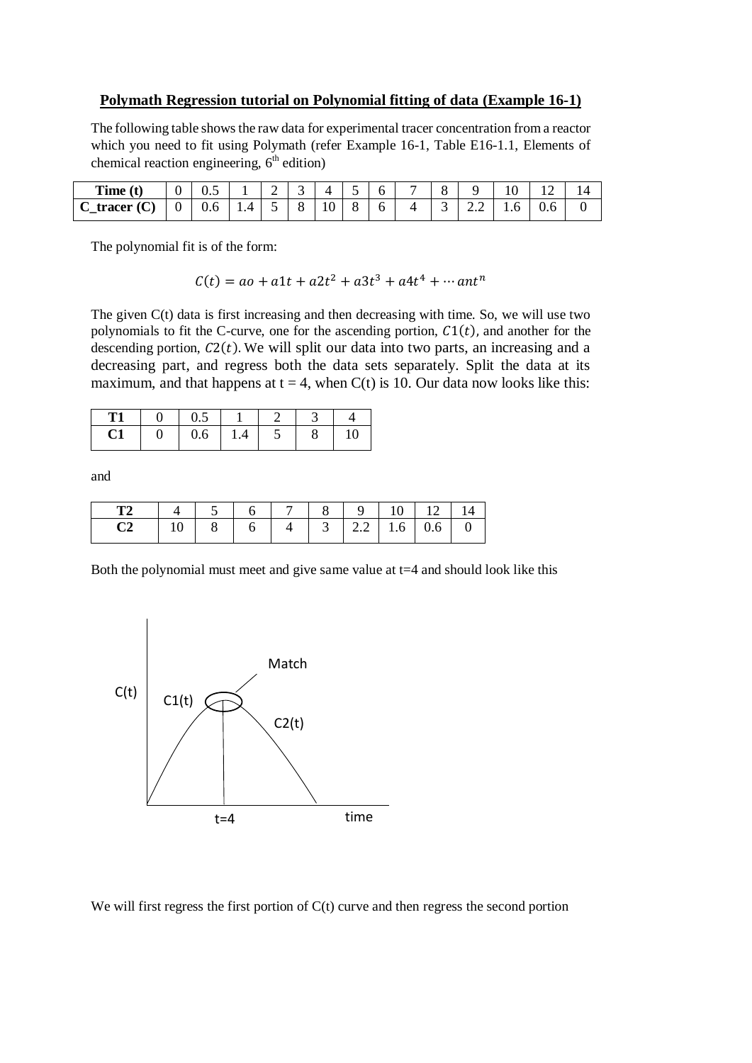## **Polymath Regression tutorial on Polynomial fitting of data (Example 16-1)**

The following table shows the raw data for experimental tracer concentration from a reactor which you need to fit using Polymath (refer Example 16-1, Table E16-1.1, Elements of chemical reaction engineering,  $6<sup>th</sup>$  edition)

| Time (t)                 | ∩<br>υ         | U.J |               | $\sim$<br>∽ | ∽<br>ັ           | 4  |        | h.           |   | $\sim$<br><u>.,</u> |     | ⊥ ∪      |     |  |
|--------------------------|----------------|-----|---------------|-------------|------------------|----|--------|--------------|---|---------------------|-----|----------|-----|--|
| (C)<br>tracer<br>◡<br>—- | $\overline{0}$ | 0.6 | $\Delta$<br>. | -           | $\sim$<br>×<br>ັ | 10 | O<br>O | <sub>0</sub> | 4 | ັ                   | 2.Z | h<br>1.V | v.v |  |

The polynomial fit is of the form:

 $C(t) = ao + a1t + a2t^2 + a3t^3 + a4t^4 + \cdots$  ant<sup>n</sup>

The given C(t) data is first increasing and then decreasing with time. So, we will use two polynomials to fit the C-curve, one for the ascending portion,  $C_1(t)$ , and another for the descending portion,  $C2(t)$ . We will split our data into two parts, an increasing and a decreasing part, and regress both the data sets separately. Split the data at its maximum, and that happens at  $t = 4$ , when C(t) is 10. Our data now looks like this:

| T <sup>1</sup> |   | U.J |     |                          |   |    |
|----------------|---|-----|-----|--------------------------|---|----|
| ◡┸             | ັ | 0.6 | 1.4 | $\overline{\phantom{0}}$ | o | ιv |

and

| <b>T2</b>      |                                          |  |  |  |  |
|----------------|------------------------------------------|--|--|--|--|
| C <sub>2</sub> | 10   8   6   4   3   2.2   1.6   0.6   0 |  |  |  |  |

Both the polynomial must meet and give same value at  $t=4$  and should look like this



We will first regress the first portion of  $C(t)$  curve and then regress the second portion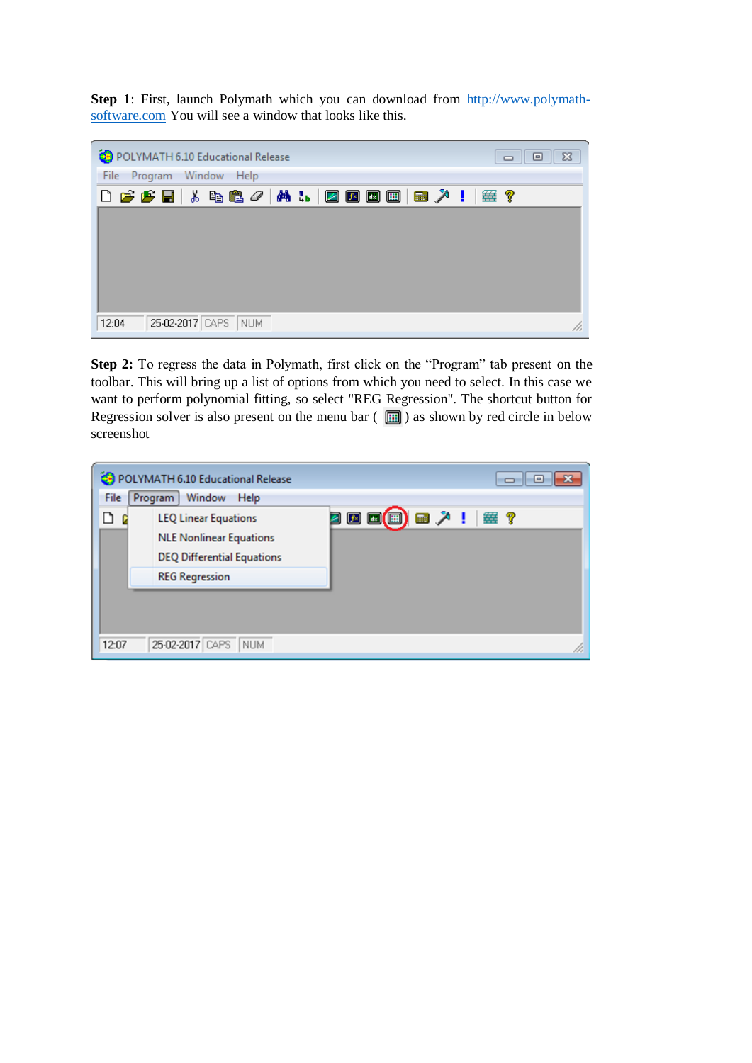**Step 1**: First, launch Polymath which you can download from [http://www.polymath](http://www.polymath-software.com/)[software.com](http://www.polymath-software.com/) You will see a window that looks like this.

| POLYMATH 6.10 Educational Release      | $\Sigma$<br>回<br>$\qquad \qquad \Box$ |
|----------------------------------------|---------------------------------------|
| File Program Window Help               |                                       |
| 0 2 2 2 1 3 2 2 4 1 1 2 2 2 3 4 1      | 垂?                                    |
|                                        |                                       |
|                                        |                                       |
|                                        |                                       |
|                                        |                                       |
|                                        |                                       |
| 25-02-2017 CAPS<br><b>NUM</b><br>12:04 | h.                                    |

**Step 2:** To regress the data in Polymath, first click on the "Program" tab present on the toolbar. This will bring up a list of options from which you need to select. In this case we want to perform polynomial fitting, so select "REG Regression". The shortcut button for Regression solver is also present on the menu bar  $\left( \Box \right)$  as shown by red circle in below screenshot

| File  | POLYMATH 6.10 Educational Release<br>Window<br><b>Program</b><br>Help                                                       | o<br>$\blacksquare$                        |  |
|-------|-----------------------------------------------------------------------------------------------------------------------------|--------------------------------------------|--|
| ہ     | <b>LEQ Linear Equations</b><br><b>NLE Nonlinear Equations</b><br><b>DEQ Differential Equations</b><br><b>REG Regression</b> | $\mathbb{R}$ $\mathbb{R}$<br>  選 ?<br>E(E) |  |
| 12:07 | 25-02-2017 CAPS<br><b>NUM</b>                                                                                               |                                            |  |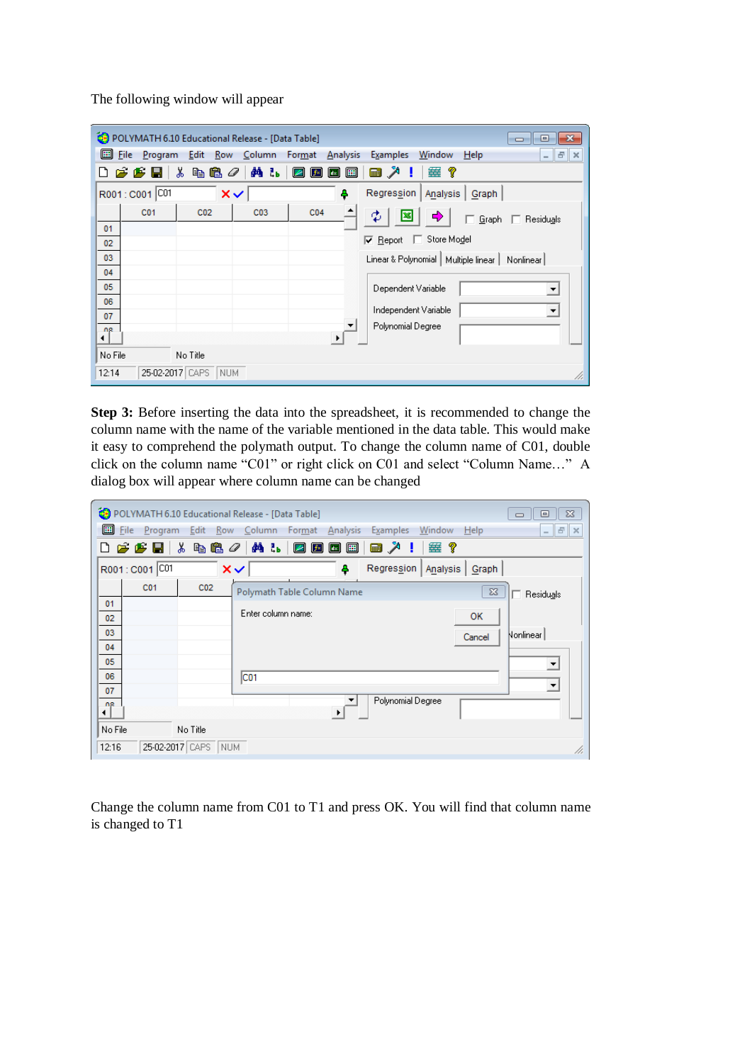The following window will appear

|          | POLYMATH 6.10 Educational Release - [Data Table]<br>$\mathbf{x}$<br>画<br>$\Box$ |                     |                 |                                                      |                                                                 |     |  |  |  |  |  |  |
|----------|---------------------------------------------------------------------------------|---------------------|-----------------|------------------------------------------------------|-----------------------------------------------------------------|-----|--|--|--|--|--|--|
| ▣        | <b>File</b><br>Program                                                          | Edit<br>Row         | Column          | Format<br><b>Analysis</b>                            | Window<br><b>Examples</b><br>Help<br>$ \mathbf{F}$ $\mathbf{x}$ |     |  |  |  |  |  |  |
|          | r.<br>Æ                                                                         | y,<br>e.<br>q       | 鵺<br>šь<br>0    | 圓<br>$\left  \right $<br>$f$ ×<br>$ d_{\mathbb{X}} $ | 簺<br>画入<br>9                                                    |     |  |  |  |  |  |  |
|          | R001: C001 C01                                                                  |                     | $\times$        | 4                                                    | Regression<br>Analysis<br>Graph                                 |     |  |  |  |  |  |  |
|          | C <sub>01</sub>                                                                 | CO <sub>2</sub>     | CO <sub>3</sub> | CO <sub>4</sub><br>٠                                 | Φ<br><br>麔<br>$\Box$ Residuals<br>Graph                         |     |  |  |  |  |  |  |
| 01       |                                                                                 |                     |                 |                                                      | Store Model                                                     |     |  |  |  |  |  |  |
| 02       |                                                                                 |                     |                 |                                                      | $\nabla$ Report<br>L.                                           |     |  |  |  |  |  |  |
| 03       |                                                                                 |                     |                 |                                                      | Linear & Polynomial   Multiple linear  <br>Nonlinear            |     |  |  |  |  |  |  |
| 04       |                                                                                 |                     |                 |                                                      |                                                                 |     |  |  |  |  |  |  |
| 05       |                                                                                 |                     |                 |                                                      | Dependent Variable<br>▼                                         |     |  |  |  |  |  |  |
| 06       |                                                                                 |                     |                 |                                                      | Independent Variable                                            |     |  |  |  |  |  |  |
| 07       |                                                                                 |                     |                 |                                                      |                                                                 |     |  |  |  |  |  |  |
| ng<br>⊣∣ |                                                                                 |                     |                 | $\ddot{\phantom{1}}$                                 | Polynomial Degree                                               |     |  |  |  |  |  |  |
| No File  |                                                                                 | No Title            |                 |                                                      |                                                                 |     |  |  |  |  |  |  |
|          |                                                                                 |                     |                 |                                                      |                                                                 |     |  |  |  |  |  |  |
| 12:14    |                                                                                 | 25-02-2017 CAPS NUM |                 |                                                      |                                                                 | /i. |  |  |  |  |  |  |

**Step 3:** Before inserting the data into the spreadsheet, it is recommended to change the column name with the name of the variable mentioned in the data table. This would make it easy to comprehend the polymath output. To change the column name of C01, double click on the column name "C01" or right click on C01 and select "Column Name…" A dialog box will appear where column name can be changed

| POLYMATH 6.10 Educational Release - [Data Table]     |                                                                                   | $\Sigma$<br>▣<br>$\Box$ |
|------------------------------------------------------|-----------------------------------------------------------------------------------|-------------------------|
| 圓<br>File                                            | Program Edit Row Column Format Analysis<br><b>Examples</b><br>Window<br>Help      | $E \times$<br>$\sim$    |
| $\boldsymbol{\beta} \boldsymbol{\beta} \mathbf{E}$ . | る 电离 ク   ぬ み<br>■ 人 ■<br>塞?<br>$\boxdot$ g bib bib $\boxdot$                      |                         |
| R001: C001 C01                                       | Regression  <br>$\times$<br>Analysis   Graph<br>4                                 |                         |
| C <sub>01</sub><br>CO <sub>2</sub>                   | $\Sigma$<br>Polymath Table Column Name                                            | Residuals               |
| 01<br>02<br>03<br>04<br>05<br>06<br>07               | Enter column name:<br><b>OK</b><br>Cancel<br>C <sub>01</sub><br>Polynomial Degree | Nonlinear               |
| ng.<br>No File<br>No Title                           | $\ddot{\phantom{1}}$                                                              |                         |
| 25-02-2017 CAPS<br>12:16<br>NUM                      |                                                                                   | /i.                     |

Change the column name from C01 to T1 and press OK. You will find that column name is changed to T1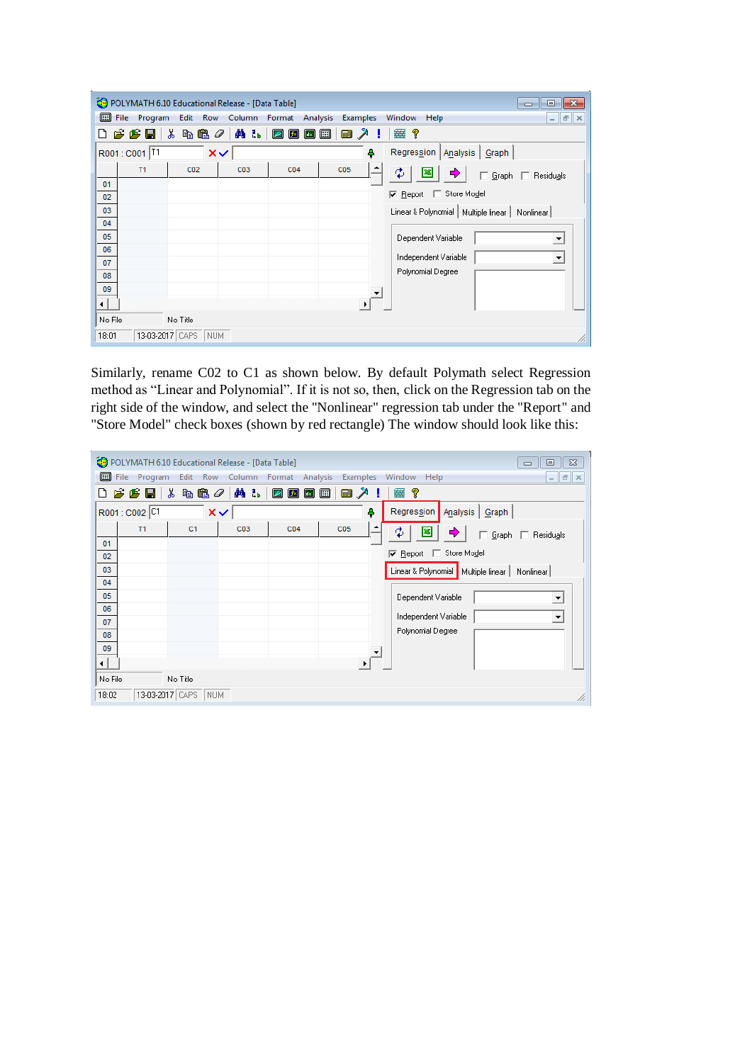|          |                                            | POLYMATH 6.10 Educational Release - [Data Table] |      |                        |                   |          | $\mathbf{x}$<br>$\Box$<br>- - 1                                    |
|----------|--------------------------------------------|--------------------------------------------------|------|------------------------|-------------------|----------|--------------------------------------------------------------------|
| 囲        | File<br>Program                            | Edit Row                                         |      | Column Format Analysis |                   | Examples | Window<br>Help<br>$\varXi$<br>$\times$<br>$\overline{\phantom{a}}$ |
|          | $\boldsymbol{\beta} \boldsymbol{\beta}$ bi | ж<br>48 p                                        | 确 56 | ♪■■<br>Ø               | 圓<br><b>Final</b> |          | 靈<br>ୃବ                                                            |
|          | R001: C001 T1                              | $\times$                                         |      |                        |                   | 4        | Regression   Analysis  <br>Graph                                   |
|          | T1                                         | CO <sub>2</sub>                                  | C03  | CO <sub>4</sub>        | C05               |          | $\mathfrak{P}$<br>□ Graph □ Residuals                              |
| 01<br>02 |                                            |                                                  |      |                        |                   |          | □ Store Model<br>$\nabla$ Report                                   |
| 03       |                                            |                                                  |      |                        |                   |          | Linear & Polynomial   Multiple linear  <br>Nonlinear               |
| 04<br>05 |                                            |                                                  |      |                        |                   |          | Dependent Variable                                                 |
| 06       |                                            |                                                  |      |                        |                   |          | <b>v</b>                                                           |
| 07<br>08 |                                            |                                                  |      |                        |                   |          | Independent Variable<br>▼<br>Polynomial Degree                     |
| 09       |                                            |                                                  |      |                        |                   |          |                                                                    |
| ⊣        |                                            |                                                  |      |                        |                   |          |                                                                    |
| No File  |                                            | No Title                                         |      |                        |                   |          |                                                                    |
| 18:01    |                                            | 13-03-2017 CAPS NUM                              |      |                        |                   |          | n.                                                                 |

Similarly, rename C02 to C1 as shown below. By default Polymath select Regression method as "Linear and Polynomial". If it is not so, then, click on the Regression tab on the right side of the window, and select the "Nonlinear" regression tab under the "Report" and "Store Model" check boxes (shown by red rectangle) The window should look like this:

|              |                 | POLYMATH 6.10 Educational Release - [Data Table] |                        |                 |                 | $\Sigma$<br>回<br>$\qquad \qquad \Box$                    |
|--------------|-----------------|--------------------------------------------------|------------------------|-----------------|-----------------|----------------------------------------------------------|
| 圃            | File<br>Program |                                                  | Edit Row Column Format | Analysis        | Examples        | Window<br>Help<br>$F \times$<br>$\overline{\phantom{a}}$ |
|              | ppe             | y,<br>电追<br>0                                    | <b>确品</b>              | ☑<br>♪■■        | ■ 入<br>圓        | 垂?                                                       |
|              | R001: C002 CT   | $\times$                                         |                        |                 | ٠               | Regression Analysis Graph                                |
|              | T1              | C <sub>1</sub>                                   | C03                    | CO <sub>4</sub> | C <sub>05</sub> | ♣<br>Φ<br>革<br>Graph   Residuals                         |
| 01<br>02     |                 |                                                  |                        |                 |                 | Report 5 Store Model                                     |
| 03           |                 |                                                  |                        |                 |                 | Linear & Polynomial   Multiple linear  <br>Nonlinear     |
| 04           |                 |                                                  |                        |                 |                 |                                                          |
| 05<br>06     |                 |                                                  |                        |                 |                 | Dependent Variable<br>$\blacktriangledown$               |
| 07           |                 |                                                  |                        |                 |                 | Independent Variable<br>$\overline{\phantom{a}}$         |
| 08           |                 |                                                  |                        |                 |                 | Polynomial Degree                                        |
| 09           |                 |                                                  |                        |                 |                 |                                                          |
| ⊣<br>No File |                 | No Title                                         |                        |                 |                 |                                                          |
| 18:02        |                 | 13-03-2017 CAPS NUM                              |                        |                 |                 | /i.                                                      |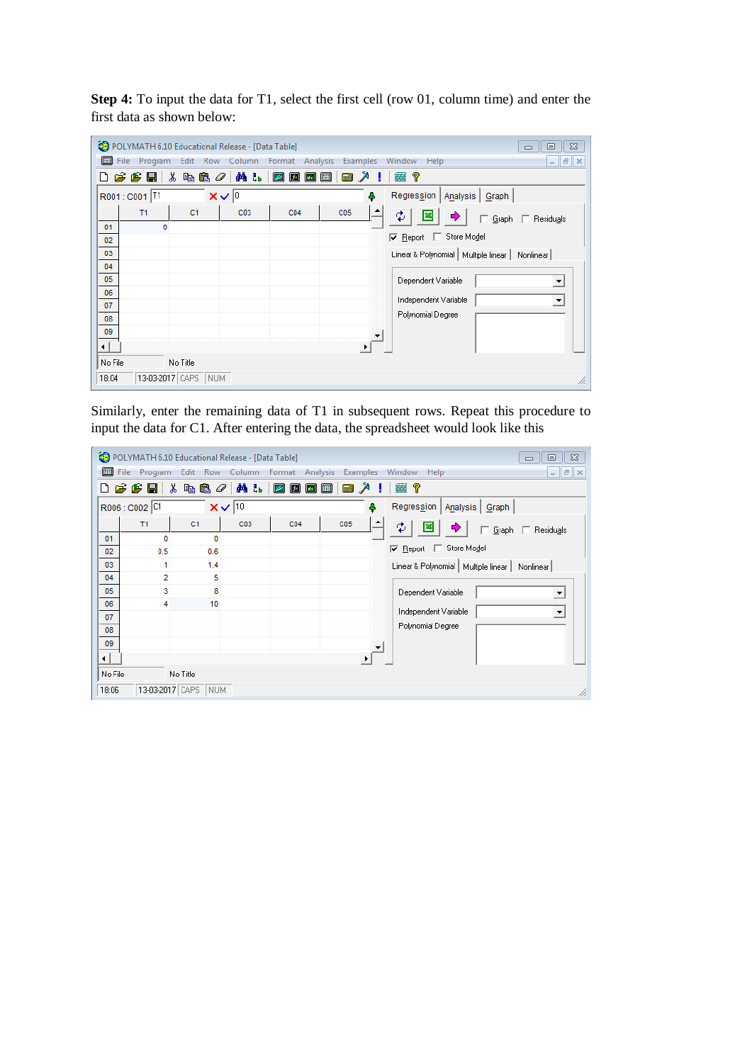**Step 4:** To input the data for T1, select the first cell (row 01, column time) and enter the first data as shown below:

|          |                                             | POLYMATH 6.10 Educational Release - [Data Table] |                    |                 |          | $\Sigma$<br>回<br>$\Box$                                               |
|----------|---------------------------------------------|--------------------------------------------------|--------------------|-----------------|----------|-----------------------------------------------------------------------|
| 圓        |                                             | File Program Edit Row Column Format Analysis     |                    |                 | Examples | Window<br>$   \in$ $\mathbb{R}$<br>Help                               |
| Π        | $\boldsymbol{\beta}$ $\boldsymbol{\beta}$ d | ¥.                                               | 电色 <i>0</i>   前 1. | 四因因             | 画入<br>▣  | 垂?                                                                    |
|          | R001: C001 T1                               |                                                  | $x \vee \sqrt{0}$  |                 | Ą        | Regression   Analysis   Graph                                         |
|          | T1                                          | C <sub>1</sub>                                   | C03                | C <sub>04</sub> | C05      | ф<br>¢<br>図<br>□ Graph □ Residuals                                    |
| 01<br>02 |                                             | 0                                                |                    |                 |          | <b>E</b> Report E Store Model                                         |
| 03       |                                             |                                                  |                    |                 |          | Linear & Polynomial   Multiple linear  <br>Nonlinear                  |
| 04<br>05 |                                             |                                                  |                    |                 |          |                                                                       |
| 06       |                                             |                                                  |                    |                 |          | Dependent Variable                                                    |
| 07       |                                             |                                                  |                    |                 |          | Independent Variable<br>$\overline{\phantom{a}}$<br>Polynomial Degree |
| 08<br>09 |                                             |                                                  |                    |                 |          |                                                                       |
| ⊣∣       |                                             |                                                  |                    |                 |          |                                                                       |
| No File  |                                             | No Title                                         |                    |                 |          |                                                                       |
| 18:04    |                                             | 13-03-2017 CAPS<br>NUM                           |                    |                 |          | /i.                                                                   |

Similarly, enter the remaining data of T1 in subsequent rows. Repeat this procedure to input the data for C1. After entering the data, the spreadsheet would look like this

|         |                | POLYMATH 6.10 Educational Release - [Data Table] |              |                                         |                 | $\Sigma$<br>回<br>$\Box$                              |
|---------|----------------|--------------------------------------------------|--------------|-----------------------------------------|-----------------|------------------------------------------------------|
| 圓       | File Program   | Edit Row Column                                  |              | Analysis<br>Format                      | <b>Examples</b> | Window<br>Help<br>$ F \times$                        |
|         | ¢ u<br>r.      | ж<br>电追<br>0                                     | 确 品          | Ø<br>$f$ × $\left[$ $\mathbb{R}\right]$ | ↗<br>E<br>圓     | 垂?                                                   |
|         | R006 : C002 C1 |                                                  | $x\sqrt{10}$ |                                         | ٠               | Regression  <br>Analysis   Graph                     |
|         | T1             | C <sub>1</sub>                                   | C03          | CO <sub>4</sub>                         | C05             | ♦<br>Ф<br>⊠<br>Graph   Residuals                     |
| 01      | o              | $\Omega$                                         |              |                                         |                 | Report 5 Store Model                                 |
| 02      | 0.5            | 0.6                                              |              |                                         |                 |                                                      |
| 03      | 1              | 1.4                                              |              |                                         |                 | Linear & Polynomial   Multiple linear  <br>Nonlinear |
| 04      | $\overline{2}$ | 5                                                |              |                                         |                 |                                                      |
| 05      | 3              | 8                                                |              |                                         |                 | Dependent Variable<br>$\blacktriangledown$           |
| 06      | 4              | 10                                               |              |                                         |                 |                                                      |
| 07      |                |                                                  |              |                                         |                 | Independent Variable<br>$\blacktriangledown$         |
| 08      |                |                                                  |              |                                         |                 | Polynomial Degree                                    |
| 09      |                |                                                  |              |                                         |                 |                                                      |
| ⊣       |                |                                                  |              |                                         |                 |                                                      |
| No File |                | No Title                                         |              |                                         |                 |                                                      |
| 18:06   |                | 13-03-2017 CAPS NUM                              |              |                                         |                 | h,                                                   |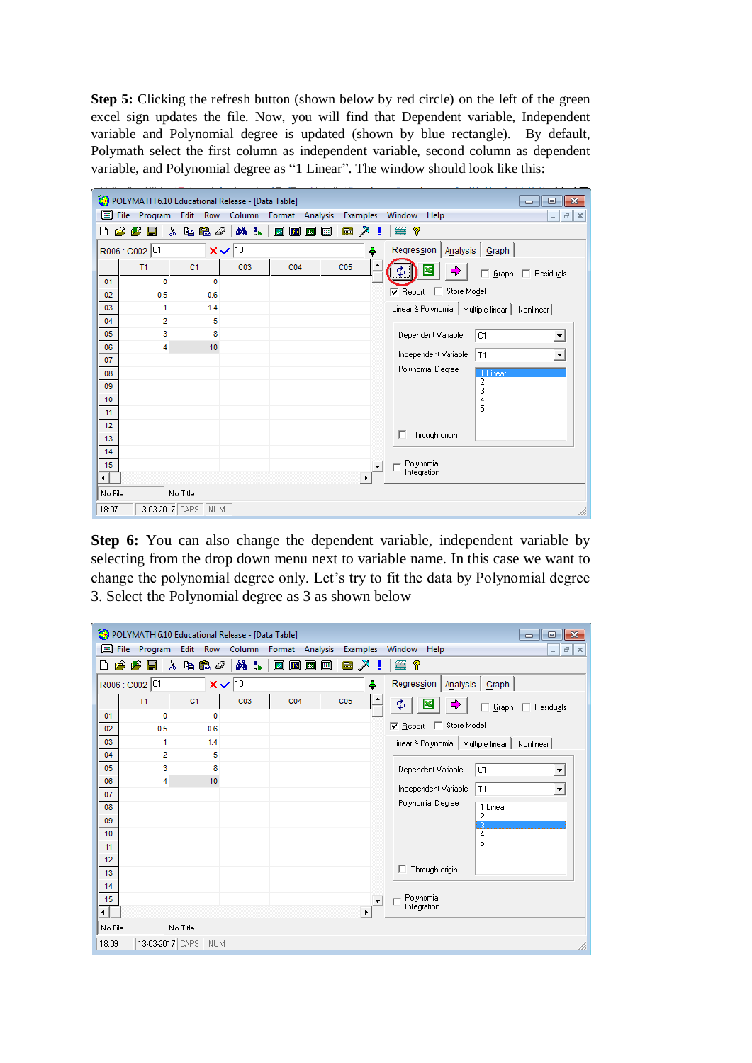**Step 5:** Clicking the refresh button (shown below by red circle) on the left of the green excel sign updates the file. Now, you will find that Dependent variable, Independent variable and Polynomial degree is updated (shown by blue rectangle). By default, Polymath select the first column as independent variable, second column as dependent variable, and Polynomial degree as "1 Linear". The window should look like this:

|         |                 | POLYMATH 6.10 Educational Release - [Data Table] |              |                   |                                              |                 |   | $\Box$                                            | $\mathbf{z}$<br>画                      |
|---------|-----------------|--------------------------------------------------|--------------|-------------------|----------------------------------------------|-----------------|---|---------------------------------------------------|----------------------------------------|
| 囲       | Program<br>File | Edit<br>Row                                      | Column       | Format            | Analysis                                     | Examples        |   | Window<br>Help                                    | $F \times$<br>$\overline{\phantom{0}}$ |
| ᄓ       | œ.<br>G H       | ⋇<br>电追<br>0                                     | 确 tb         | Ø<br>$\mathbf{f}$ | $\begin{bmatrix} \bullet \end{bmatrix}$<br>圓 | ■ 入             |   | 垂?                                                |                                        |
|         | R006 : C002 C1  |                                                  | $x\sqrt{10}$ |                   |                                              |                 | 4 | Regression  <br>Analysis   Graph                  |                                        |
|         | T1              | C <sub>1</sub>                                   | C03          | C <sub>04</sub>   |                                              | C <sub>05</sub> |   | Graph                                             | $\Box$ Residuals                       |
| 01      | 0               | 0                                                |              |                   |                                              |                 |   |                                                   |                                        |
| 02      | 0.5             | 0.6                                              |              |                   |                                              |                 |   | Store Model<br>$\nabla$ Report<br>E.              |                                        |
| 03      | 1               | 1.4                                              |              |                   |                                              |                 |   | Linear & Polynomial   Multiple linear   Nonlinear |                                        |
| 04      | $\overline{2}$  | 5                                                |              |                   |                                              |                 |   |                                                   |                                        |
| 05      | 3               | 8                                                |              |                   |                                              |                 |   | Dependent Variable<br>lc1                         | $\blacktriangledown$                   |
| 06      | 4               | 10                                               |              |                   |                                              |                 |   | Independent Variable<br>T1                        | $\overline{\phantom{a}}$               |
| 07      |                 |                                                  |              |                   |                                              |                 |   |                                                   |                                        |
| 08      |                 |                                                  |              |                   |                                              |                 |   | Polynomial Degree<br>1 Linear                     |                                        |
| 09      |                 |                                                  |              |                   |                                              |                 |   | $\overline{2}$<br>3                               |                                        |
| 10      |                 |                                                  |              |                   |                                              |                 |   | 4                                                 |                                        |
| 11      |                 |                                                  |              |                   |                                              |                 |   | 5                                                 |                                        |
| 12      |                 |                                                  |              |                   |                                              |                 |   |                                                   |                                        |
| 13      |                 |                                                  |              |                   |                                              |                 |   | Through origin                                    |                                        |
| 14      |                 |                                                  |              |                   |                                              |                 |   |                                                   |                                        |
| 15      |                 |                                                  |              |                   |                                              |                 |   | Polynomial<br>Integration                         |                                        |
| ⊣       |                 |                                                  |              |                   |                                              |                 | ▸ |                                                   |                                        |
| No File |                 | No Title                                         |              |                   |                                              |                 |   |                                                   |                                        |
| 18:07   |                 | 13-03-2017 CAPS<br>NUM                           |              |                   |                                              |                 |   |                                                   | /i.                                    |

**Step 6:** You can also change the dependent variable, independent variable by selecting from the drop down menu next to variable name. In this case we want to change the polynomial degree only. Let's try to fit the data by Polynomial degree 3. Select the Polynomial degree as 3 as shown below

|                        |                | POLYMATH 6.10 Educational Release - [Data Table] |              |                 |                   |          |                                                   | $-23$<br>o<br>$\Box$                     |
|------------------------|----------------|--------------------------------------------------|--------------|-----------------|-------------------|----------|---------------------------------------------------|------------------------------------------|
| 圓                      | File Program   | Edit Row Column                                  |              | Format Analysis |                   | Examples | Window<br>Help                                    | $F$ $\times$<br>$\overline{\phantom{a}}$ |
| Γ٦                     | ぱぴ目            | Y.<br>\$6.                                       | 顔 品          | ☑ ဩ             | $\boxed{4x}$<br>圓 | ▣↗       | 垂?                                                |                                          |
|                        | R006 : C002 C1 |                                                  | $x\sqrt{10}$ |                 |                   | 4        | Regression  <br>Analysis   Graph                  |                                          |
|                        | T1             | C <sub>1</sub>                                   | C03          | C <sub>04</sub> |                   | C05      | Φ<br>Graph                                        | $\Box$ Residuals                         |
| 01                     | 0              | $\Omega$                                         |              |                 |                   |          |                                                   |                                          |
| 02                     | 0.5            | 0.6                                              |              |                 |                   |          | □ Store Model<br>$\nabla$ Report                  |                                          |
| 03                     | 1              | 1.4                                              |              |                 |                   |          | Linear & Polynomial   Multiple linear   Nonlinear |                                          |
| 04                     | 2              | 5                                                |              |                 |                   |          |                                                   |                                          |
| 05                     | 3              | 8                                                |              |                 |                   |          | Dependent Variable<br>lC1                         | $\blacktriangledown$                     |
| 06                     | 4              | 10                                               |              |                 |                   |          | Independent Variable<br>T1                        | $\blacktriangledown$                     |
| 07                     |                |                                                  |              |                 |                   |          |                                                   |                                          |
| 08                     |                |                                                  |              |                 |                   |          | Polynomial Degree<br>1 Linear<br>$\overline{c}$   |                                          |
| 09                     |                |                                                  |              |                 |                   |          | 3                                                 |                                          |
| 10 <sup>°</sup>        |                |                                                  |              |                 |                   |          | 4<br>5                                            |                                          |
| 11                     |                |                                                  |              |                 |                   |          |                                                   |                                          |
| 12 <sup>°</sup>        |                |                                                  |              |                 |                   |          | Through origin                                    |                                          |
| 13                     |                |                                                  |              |                 |                   |          |                                                   |                                          |
| 14                     |                |                                                  |              |                 |                   |          |                                                   |                                          |
| 15                     |                |                                                  |              |                 |                   |          | Polynomial<br>Integration                         |                                          |
| $\left  \cdot \right $ |                |                                                  |              |                 |                   | ٠        |                                                   |                                          |
| No File                |                | No Title                                         |              |                 |                   |          |                                                   |                                          |
| 18:09                  |                | 13-03-2017 CAPS<br>NUM                           |              |                 |                   |          |                                                   | h                                        |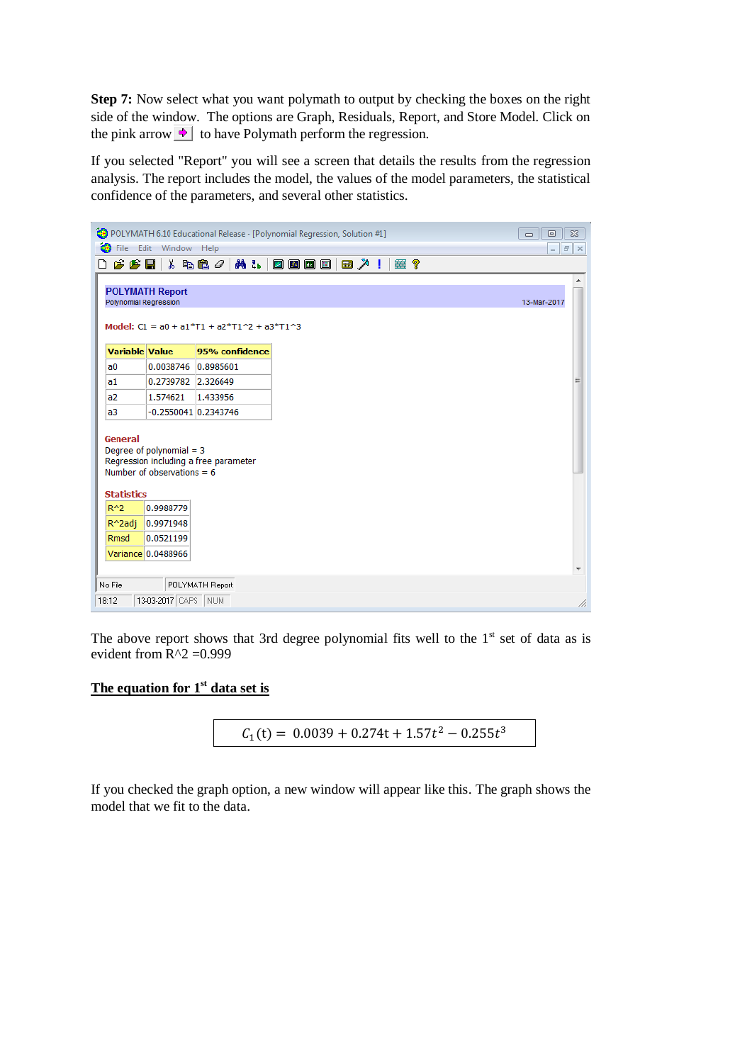**Step 7:** Now select what you want polymath to output by checking the boxes on the right side of the window. The options are Graph, Residuals, Report, and Store Model. Click on the pink arrow  $\rightarrow$  to have Polymath perform the regression.

If you selected "Report" you will see a screen that details the results from the regression analysis. The report includes the model, the values of the model parameters, the statistical confidence of the parameters, and several other statistics.



The above report shows that 3rd degree polynomial fits well to the  $1<sup>st</sup>$  set of data as is evident from  $R^2 = 0.999$ 

## **The equation for 1st data set is**

$$
C_1(t) = 0.0039 + 0.274t + 1.57t^2 - 0.255t^3
$$

If you checked the graph option, a new window will appear like this. The graph shows the model that we fit to the data.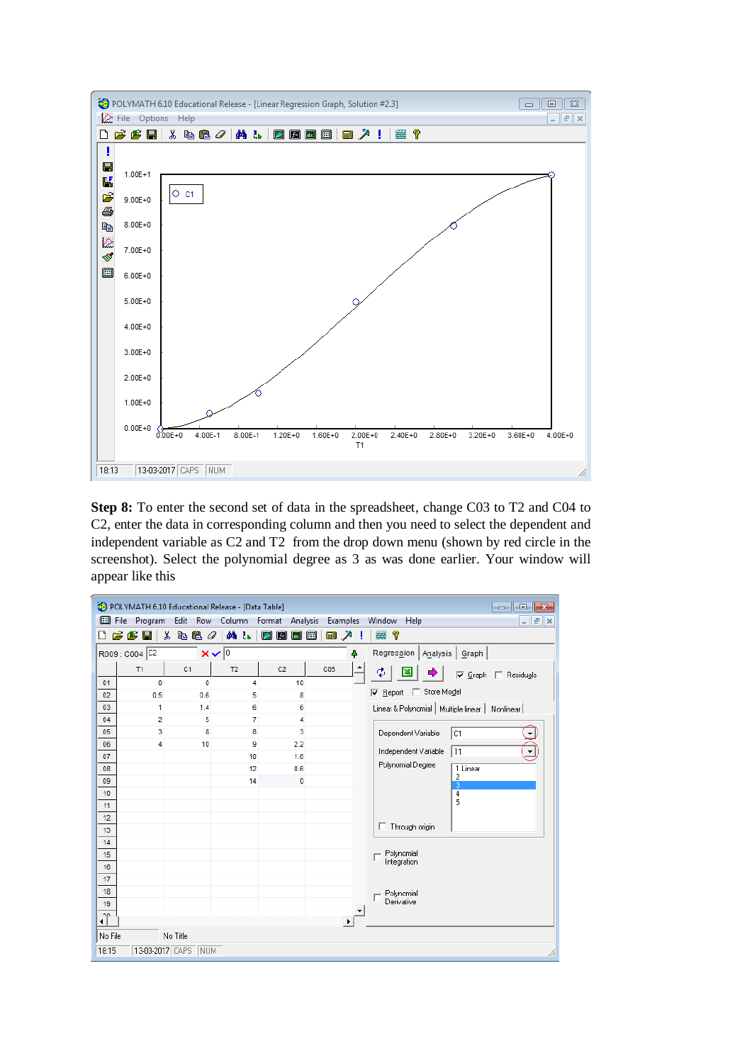

**Step 8:** To enter the second set of data in the spreadsheet, change C03 to T2 and C04 to C2, enter the data in corresponding column and then you need to select the dependent and independent variable as C2 and T2 from the drop down menu (shown by red circle in the screenshot). Select the polynomial degree as 3 as was done earlier. Your window will appear like this

|          |                 | POLYMATH 6.10 Educational Release - [Data Table] |                |                                                 |                   |                       |                                                   | $\mathbf{x}$<br>$\Box$<br>---          |
|----------|-----------------|--------------------------------------------------|----------------|-------------------------------------------------|-------------------|-----------------------|---------------------------------------------------|----------------------------------------|
| 圖        | File<br>Program | Edit                                             | Row Column     | Format<br>Analysis                              |                   | <b>Examples</b>       | Window<br>Help                                    | $F \times$<br>$\overline{\phantom{a}}$ |
|          | œ<br>G H        | y,<br>48 <i>0</i>                                | <b>фА ₹ь</b>   | $f$ ×<br>$\sqrt{2}$<br>$\overline{\mathscr{L}}$ | 画<br><b>Final</b> | $\sum_{i=1}^{n}$<br>H | 簺<br>?                                            |                                        |
|          | R009: C004 C2   |                                                  | $x\sqrt{0}$    |                                                 |                   | 4                     | Regression<br>Analysis<br>Graph                   |                                        |
|          | T1              | C <sub>1</sub>                                   | T <sub>2</sub> | C <sub>2</sub>                                  | C05               |                       | ¢<br>Ф<br>Œ<br>$\nabla$ Graph                     | Residuals                              |
| 01       | 0               | 0                                                | 4              | 10                                              |                   |                       |                                                   |                                        |
| 02       | 0.5             | 0.6                                              | 5              | 8                                               |                   |                       | Store Model<br>$\nabla$ Report $\Box$             |                                        |
| 03       | 1               | 1.4                                              | 6              | 6                                               |                   |                       | Linear & Polynomial   Multiple linear   Nonlinear |                                        |
| 04       | $\overline{2}$  | 5                                                | 7              | 4                                               |                   |                       |                                                   |                                        |
| 05       | 3               | 8                                                | 8              | 3                                               |                   |                       | C1<br>Dependent Variable                          |                                        |
| 06       | 4               | 10                                               | 9              | 2.2                                             |                   |                       | Independent Variable<br>  T1                      |                                        |
| 07       |                 |                                                  | 10             | 1.6                                             |                   |                       | Polynomial Degree                                 |                                        |
| 08       |                 |                                                  | 12             | 0.6                                             |                   |                       | 1 Linear<br>$\overline{\mathbf{c}}$               |                                        |
| 09       |                 |                                                  | 14             | $\mathbf{0}$                                    |                   |                       | 3                                                 |                                        |
| 10       |                 |                                                  |                |                                                 |                   |                       | $\overline{4}$<br>5                               |                                        |
| 11       |                 |                                                  |                |                                                 |                   |                       |                                                   |                                        |
| 12       |                 |                                                  |                |                                                 |                   |                       | Through origin<br>п.                              |                                        |
| 13       |                 |                                                  |                |                                                 |                   |                       |                                                   |                                        |
| 14       |                 |                                                  |                |                                                 |                   |                       |                                                   |                                        |
| 15       |                 |                                                  |                |                                                 |                   |                       | Polynomial<br>Integration                         |                                        |
| 16       |                 |                                                  |                |                                                 |                   |                       |                                                   |                                        |
| 17<br>18 |                 |                                                  |                |                                                 |                   |                       |                                                   |                                        |
| 19       |                 |                                                  |                |                                                 |                   |                       | Polynomial<br>Derivative                          |                                        |
|          |                 |                                                  |                |                                                 |                   |                       |                                                   |                                        |
| Ĵ        |                 |                                                  |                |                                                 |                   |                       |                                                   |                                        |
| No File  |                 | No Title                                         |                |                                                 |                   |                       |                                                   |                                        |
| 18:15    |                 | 13-03-2017 CAPS<br><b>NUM</b>                    |                |                                                 |                   |                       |                                                   |                                        |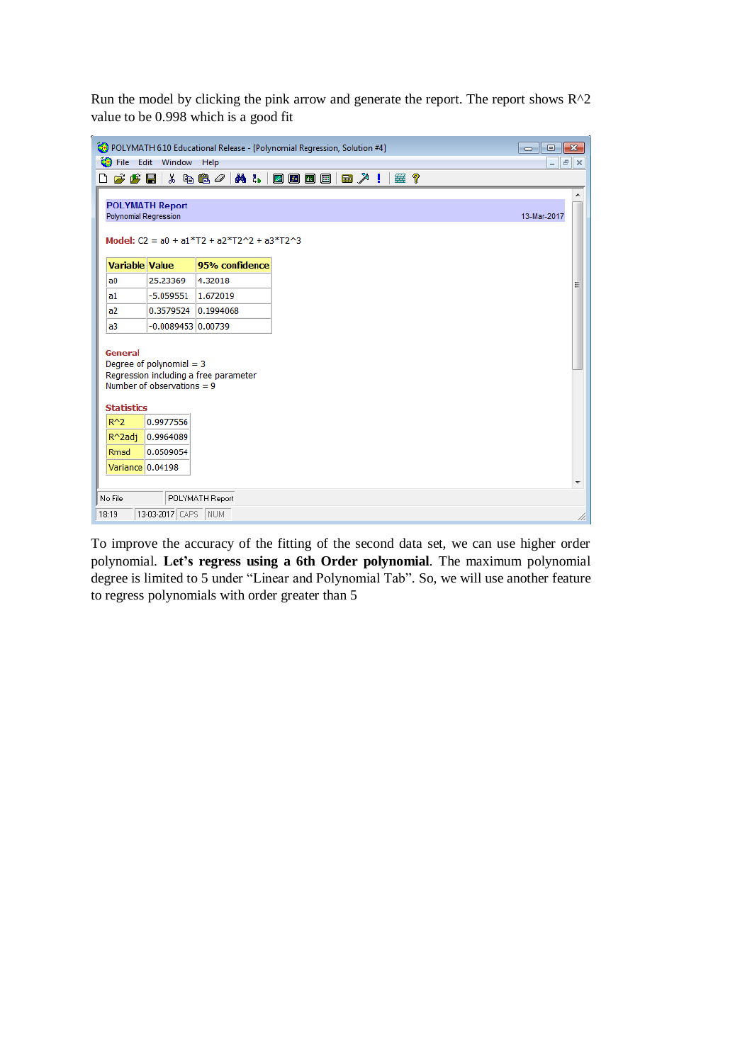Run the model by clicking the pink arrow and generate the report. The report shows  $R^2$ value to be 0.998 which is a good fit

|                              |                                                                                 | POLYMATH 6.10 Educational Release - [Polynomial Regression, Solution #4] |                          |       |    |  | <u>  o </u><br>$\Box$    | ⊪x⊦ |
|------------------------------|---------------------------------------------------------------------------------|--------------------------------------------------------------------------|--------------------------|-------|----|--|--------------------------|-----|
| œ.                           | File Edit Window Help                                                           |                                                                          |                          |       |    |  | $  \frac{1}{2}$ $\times$ |     |
| η                            | $\mathcal{B}$ $\mathcal{B}$ $\parallel$ $\lambda$ b a $\mathcal{O}$ $\parallel$ |                                                                          | <b>M. L.   Z 0 0 0 1</b> | ■ ↗ ! | 塞? |  |                          |     |
| <b>Polynomial Regression</b> | <b>POLYMATH Report</b>                                                          | Model: $C2 = a0 + a1*T2 + a2*T2^2 + a3*T2^3$                             |                          |       |    |  | 13-Mar-2017              |     |
| <b>Variable Value</b>        |                                                                                 | 95% confidence                                                           |                          |       |    |  |                          |     |
| a <sub>0</sub>               | 25.23369                                                                        | 4.32018                                                                  |                          |       |    |  |                          | Ξ   |
| a1                           | $-5.059551$                                                                     | 1.672019                                                                 |                          |       |    |  |                          |     |
| a2                           | 0.3579524 0.1994068                                                             |                                                                          |                          |       |    |  |                          |     |
| a3                           | $-0.0089453 0.00739$                                                            |                                                                          |                          |       |    |  |                          |     |
| General                      | Degree of polynomial $=$ 3<br>Number of observations = $9$                      | Regression including a free parameter                                    |                          |       |    |  |                          |     |
| <b>Statistics</b>            |                                                                                 |                                                                          |                          |       |    |  |                          |     |
| $R^2$                        | 0.9977556                                                                       |                                                                          |                          |       |    |  |                          |     |
| R^2adj                       | 0.9964089                                                                       |                                                                          |                          |       |    |  |                          |     |
| <b>Rmsd</b>                  | 0.0509054                                                                       |                                                                          |                          |       |    |  |                          |     |
| Variance 0.04198             |                                                                                 |                                                                          |                          |       |    |  |                          |     |
|                              |                                                                                 |                                                                          |                          |       |    |  |                          |     |
| No File                      |                                                                                 | POLYMATH Report                                                          |                          |       |    |  |                          |     |
| 18:19                        | 13-03-2017 CAPS NUM                                                             |                                                                          |                          |       |    |  |                          | /i. |

To improve the accuracy of the fitting of the second data set, we can use higher order polynomial. **Let's regress using a 6th Order polynomial**. The maximum polynomial degree is limited to 5 under "Linear and Polynomial Tab". So, we will use another feature to regress polynomials with order greater than 5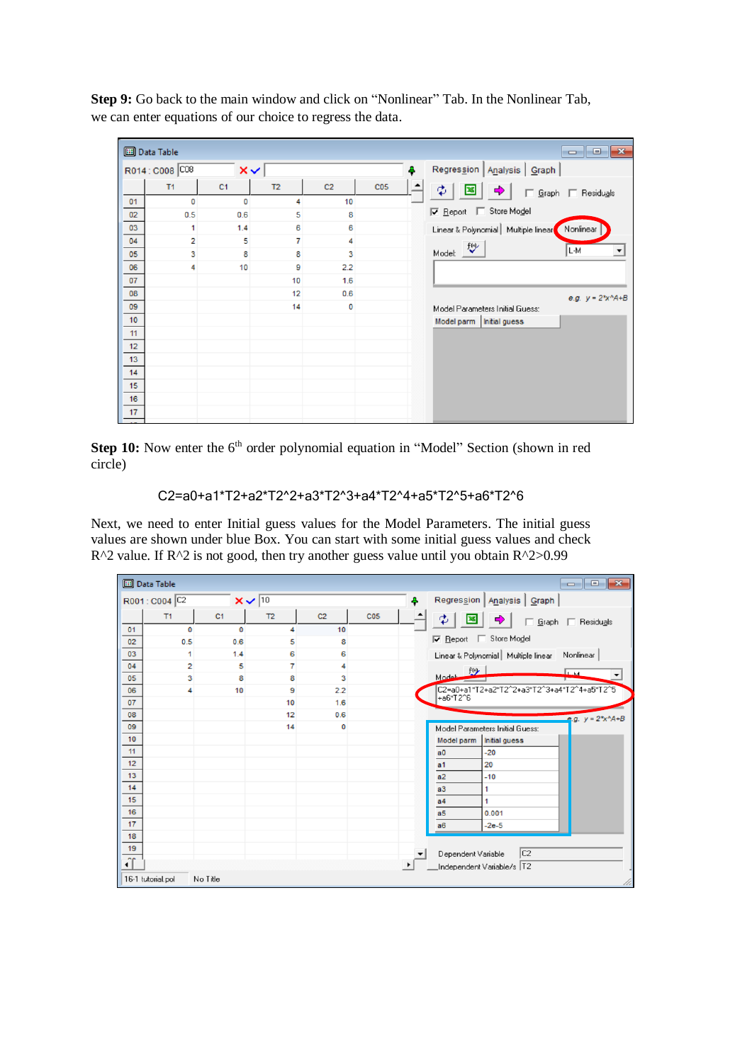|           | <b>B</b> Data Table |                |                |                |                 |   |                                       |                      |
|-----------|---------------------|----------------|----------------|----------------|-----------------|---|---------------------------------------|----------------------|
|           | R014: C008 C08      | $\times$       |                |                |                 | Ą | Regression   Analysis   Graph         |                      |
|           | T <sub>1</sub>      | C <sub>1</sub> | T <sub>2</sub> | C <sub>2</sub> | C <sub>05</sub> |   | ф<br>$\mathfrak{P}$                   | Graph   Residuals    |
| 01        | 0                   | 0              | 4              | 10             |                 |   |                                       |                      |
| 02        | 0.5                 | 0.6            | 5              | 8              |                 |   | □ Store Model<br>$\nabla$ Report      |                      |
| 03        | 1                   | 1.4            | 6              | 6              |                 |   | Linear & Polynomial   Multiple linear | Nonlinear            |
| 04        | $\overline{2}$      | 5              | 7              | 4              |                 |   | 炒                                     |                      |
| 05        | 3                   | 8              | 8              | 3              |                 |   | Model:                                | L-M                  |
| 06        | 4                   | 10             | 9              | 2.2            |                 |   |                                       |                      |
| 07        |                     |                | 10             | 1.6            |                 |   |                                       |                      |
| 08        |                     |                | 12             | 0.6            |                 |   |                                       | e.g. $y = 2*x^A + B$ |
| 09        |                     |                | 14             | 0              |                 |   | Model Parameters Initial Guess:       |                      |
| 10        |                     |                |                |                |                 |   | Model parm   Initial guess            |                      |
| 11        |                     |                |                |                |                 |   |                                       |                      |
| 12        |                     |                |                |                |                 |   |                                       |                      |
| 13        |                     |                |                |                |                 |   |                                       |                      |
| 14        |                     |                |                |                |                 |   |                                       |                      |
| 15        |                     |                |                |                |                 |   |                                       |                      |
| 16        |                     |                |                |                |                 |   |                                       |                      |
| 17<br>$-$ |                     |                |                |                |                 |   |                                       |                      |

**Step 9:** Go back to the main window and click on "Nonlinear" Tab. In the Nonlinear Tab, we can enter equations of our choice to regress the data.

**Step 10:** Now enter the 6<sup>th</sup> order polynomial equation in "Model" Section (shown in red circle)

```
 C2=a0+a1*T2+a2*T2^2+a3*T2^3+a4*T2^4+a5*T2^5+a6*T2^6
```
Next, we need to enter Initial guess values for the Model Parameters. The initial guess values are shown under blue Box. You can start with some initial guess values and check  $R^2$  value. If  $R^2$  is not good, then try another guess value until you obtain  $R^2 > 0.99$ 

|                      | <b>Data Table</b> |                |                    |                |                 |                                                    |
|----------------------|-------------------|----------------|--------------------|----------------|-----------------|----------------------------------------------------|
|                      | R001: C004 C2     |                | $x \vee \sqrt{10}$ |                |                 | Regression   Analysis   Graph<br>4                 |
|                      | T1                | C <sub>1</sub> | T <sub>2</sub>     | C <sub>2</sub> | C <sub>05</sub> | ♣<br>Graph   Residuals                             |
| 01                   | 0                 | $\mathbf 0$    | 4                  | 10             |                 |                                                    |
| 02                   | 0.5               | 0.6            | 5                  | 8              |                 | □ Store Model<br>$\nabla$ Report                   |
| 03                   | 1                 | 1.4            | 6                  | 6              |                 | Linear & Polynomial   Multiple linear   Nonlinear  |
| 04                   | $\overline{2}$    | 5              | 7                  | 4              |                 |                                                    |
| 05                   | 3                 | 8              | 8                  | 3              |                 | $Mod1$ $f(s)$<br><u>Гщ</u><br>$\blacktriangledown$ |
| 06                   | 4                 | 10             | 9                  | 2.2            |                 | C2=a0+a1*T2+a2*T2^2+a3*T2^3+a4*T2^4+a5*T2^5        |
| 07                   |                   |                | 10                 | 1.6            |                 | +a6*T2^6                                           |
| 08                   |                   |                | 12                 | 0.6            |                 | e.g. $y = 2*x^A + B$                               |
| 09                   |                   |                | 14                 | $\mathbf 0$    |                 | Model Parameters Initial Guess:                    |
| 10                   |                   |                |                    |                |                 | Initial guess<br>Model parm                        |
| 11                   |                   |                |                    |                |                 | $-20$<br>a <sub>0</sub>                            |
| 12                   |                   |                |                    |                |                 | 20<br>a <sub>1</sub>                               |
| 13                   |                   |                |                    |                |                 | a2<br>$-10$                                        |
| 14                   |                   |                |                    |                |                 | a3<br>1                                            |
| 15                   |                   |                |                    |                |                 | a <sub>4</sub><br>1                                |
| 16                   |                   |                |                    |                |                 | a <sub>5</sub><br>0.001                            |
| 17                   |                   |                |                    |                |                 | $-2e-5$<br>a6                                      |
| 18                   |                   |                |                    |                |                 |                                                    |
| 19                   |                   |                |                    |                |                 | C <sub>2</sub><br>Dependent Variable               |
| nn<br>$\blacksquare$ |                   |                |                    |                |                 | $\blacktriangleright$<br>Independent Variable/s T2 |
|                      | 16-1 tutorial.pol | No Title       |                    |                |                 |                                                    |